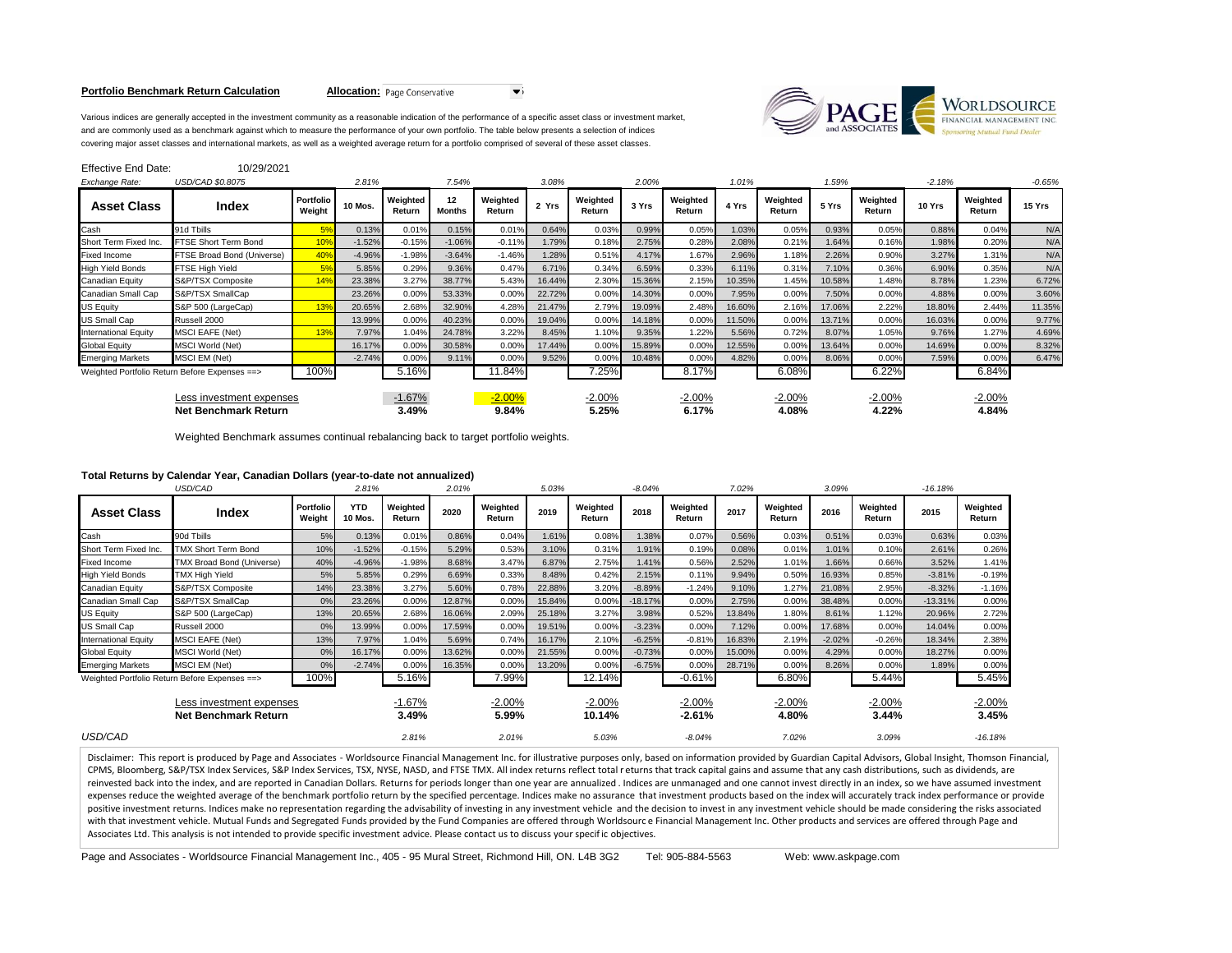### **Portfolio Benchmark Return Calculation Allocation:** Page Conservative  $\bullet$



Various indices are generally accepted in the investment community as a reasonable indication of the performance of a specific asset class or investment market, and are commonly used as a benchmark against which to measure the performance of your own portfolio. The table below presents a selection of indices covering major asset classes and international markets, as well as a weighted average return for a portfolio comprised of several of these asset classes.

| <b>Effective End Date:</b>                              | 10/29/2021                 |                     |          |                    |                     |                    |        |                    |        |                    |        |                    |        |                    |          |                    |          |
|---------------------------------------------------------|----------------------------|---------------------|----------|--------------------|---------------------|--------------------|--------|--------------------|--------|--------------------|--------|--------------------|--------|--------------------|----------|--------------------|----------|
| Exchange Rate:                                          | USD/CAD \$0.8075           |                     | 2.81%    |                    | 7.54%               |                    | 3.08%  |                    | 2.00%  |                    | 1.01%  |                    | 1.59%  |                    | $-2.18%$ |                    | $-0.65%$ |
| <b>Asset Class</b>                                      | Index                      | Portfolio<br>Weight | 10 Mos.  | Weighted<br>Return | 12<br><b>Months</b> | Weighted<br>Return | 2 Yrs  | Weighted<br>Return | 3 Yrs  | Weighted<br>Return | 4 Yrs  | Weighted<br>Return | 5 Yrs  | Weighted<br>Return | 10 Yrs   | Weighted<br>Return | 15 Yrs   |
| Cash                                                    | 91d Tbills                 |                     | 0.13%    | 0.01%              | 0.15%               | 0.01%              | 0.64%  | 0.03%              | 0.99%  | 0.05%              | 1.03%  | 0.05%              | 0.93%  | 0.05%              | 0.88%    | 0.04%              | N/A      |
| Short Term Fixed Inc.                                   | FTSE Short Term Bond       | 10 <sup>9</sup>     | $-1.52%$ | $-0.15%$           | $-1.06%$            | $-0.11%$           | 1.79%  | 0.18%              | 2.75%  | 0.28%              | 2.08%  | 0.21%              | 1.64%  | 0.16%              | 1.98%    | 0.20%              | N/A      |
| <b>Fixed Income</b>                                     | FTSE Broad Bond (Universe) | 40°                 | $-4.96%$ | $-1.98%$           | $-3.64%$            | $-1.46%$           | 1.28%  | 0.51%              | 4.17%  | 1.67%              | 2.96%  | 1.18%              | 2.26%  | 0.90%              | 3.27%    | 1.31%              | N/A      |
| <b>High Yield Bonds</b>                                 | <b>FTSE High Yield</b>     | 5%                  | 5.85%    | 0.29%              | 9.36%               | 0.47%              | 6.71%  | 0.34%              | 6.59%  | 0.33%              | 6.11%  | 0.31%              | 7.10%  | 0.36%              | 6.90%    | 0.35%              | N/A      |
| Canadian Equity                                         | S&P/TSX Composite          | 14%                 | 23.38%   | 3.27%              | 38.77%              | 5.43%              | 16.44% | 2.30%              | 15.36% | 2.15%              | 10.35% | 1.45%              | 10.58% | 1.48%              | 8.78%    | 1.23%              | 6.72%    |
| Canadian Small Cap                                      | S&P/TSX SmallCap           |                     | 23.26%   | 0.00%              | 53.33%              | 0.00%              | 22.72% | 0.00%              | 14.30% | 0.00%              | 7.95%  | 0.00%              | 7.50%  | 0.00%              | 4.88%    | 0.00%              | 3.60%    |
| <b>US Equity</b>                                        | S&P 500 (LargeCap)         | 13 <sup>9</sup>     | 20.65%   | 2.68%              | 32.90%              | 4.28%              | 21.47% | 2.79%              | 19.09% | 2.48%              | 16.60% | 2.16%              | 17.06% | 2.22%              | 18.80%   | 2.44%              | 11.35%   |
| US Small Cap                                            | Russell 2000               |                     | 13.99%   | 0.00%              | 40.23%              | 0.00%              | 19.04% | 0.00%              | 14.18% | 0.00%              | 11.50% | 0.00%              | 13.71% | 0.00%              | 16.03%   | 0.00%              | 9.77%    |
| <b>International Equity</b>                             | <b>MSCI EAFE (Net)</b>     | 13 <sup>9</sup>     | 7.97%    | 1.04%              | 24.78%              | 3.22%              | 8.45%  | 1.10%              | 9.35%  | 1.22%              | 5.56%  | 0.72%              | 8.07%  | 1.05%              | 9.76%    | 1.27%              | 4.69%    |
| <b>Global Equity</b>                                    | <b>MSCI World (Net)</b>    |                     | 16.17%   | 0.00%              | 30.58%              | 0.00%              | 17.44% | 0.00%              | 15.89% | 0.00%              | 12.55% | 0.00%              | 13.64% | 0.00%              | 14.69%   | 0.00%              | 8.32%    |
| <b>Emerging Markets</b>                                 | <b>MSCI EM (Net)</b>       |                     | $-2.74%$ | 0.00%              | 9.11%               | 0.00%              | 9.52%  | 0.00%              | 10.48% | 0.00%              | 4.82%  | 0.00%              | 8.06%  | 0.00%              | 7.59%    | 0.00%              | 6.47%    |
| Weighted Portfolio Return Before Expenses ==>           |                            | 100%                |          | 5.16%              |                     | 11.84%             |        | 7.25%              |        | 8.17%              |        | 6.08%              |        | 6.22%              |          | 6.84%              |          |
| Less investment expenses<br><b>Net Benchmark Return</b> |                            |                     |          | $-1.67%$<br>3.49%  |                     | $-2.00%$<br>9.84%  |        | $-2.00%$<br>5.25%  |        | -2.00%<br>6.17%    |        | $-2.00%$<br>4.08%  |        | $-2.00%$<br>4.22%  |          | $-2.00%$<br>4.84%  |          |

Weighted Benchmark assumes continual rebalancing back to target portfolio weights.

# **Total Returns by Calendar Year, Canadian Dollars (year-to-date not annualized)**

|                                                         | USD/CAD                                               |                     | 2.81%                        |                    | 2.01%  | 5.03%              |        |                    | $-8.04%$  |                      |        |                    | 3.09%    |                    | $-16.18%$ |                    |
|---------------------------------------------------------|-------------------------------------------------------|---------------------|------------------------------|--------------------|--------|--------------------|--------|--------------------|-----------|----------------------|--------|--------------------|----------|--------------------|-----------|--------------------|
| <b>Asset Class</b>                                      | Index                                                 | Portfolio<br>Weight | <b>YTD</b><br><b>10 Mos.</b> | Weighted<br>Return | 2020   | Weighted<br>Return | 2019   | Weighted<br>Return | 2018      | Weighted<br>Return   | 2017   | Weighted<br>Return | 2016     | Weighted<br>Return | 2015      | Weighted<br>Return |
| Cash                                                    | 90d Tbills                                            | 5%                  | 0.13%                        | 0.01%              | 0.86%  | 0.04%              | 1.61%  | 0.08%              | 1.38%     | 0.07%                | 0.56%  | 0.03%              | 0.51%    | 0.03%              | 0.63%     | 0.03%              |
| Short Term Fixed Inc.                                   | <b>TMX Short Term Bond</b>                            | 10%                 | $-1.52%$                     | $-0.15%$           | 5.29%  | 0.53%              | 3.10%  | 0.31%              | 1.91%     | 0.19%                | 0.08%  | 0.01%              | 1.01%    | 0.10%              | 2.61%     | 0.26%              |
| Fixed Income                                            | <b>TMX Broad Bond (Universe)</b>                      | 40%                 | $-4.96%$                     | $-1.98%$           | 8.68%  | 3.47%              | 6.87%  | 2.75%              | 1.41%     | 0.56%                | 2.52%  | 1.01%              | 1.66%    | 0.66%              | 3.52%     | 1.41%              |
| <b>High Yield Bonds</b>                                 | <b>TMX High Yield</b>                                 | 5%                  | 5.85%                        | 0.29%              | 6.69%  | 0.33%              | 8.48%  | 0.42%              | 2.15%     | 0.11%                | 9.94%  | 0.50%              | 16.93%   | 0.85%              | $-3.81%$  | $-0.19%$           |
| Canadian Equity                                         | S&P/TSX Composite                                     | 14%                 | 23.38%                       | 3.27%              | 5.60%  | 0.78%              | 22.88% | 3.20%              | $-8.89%$  | $-1.24%$             | 9.10%  | 1.27%              | 21.08%   | 2.95%              | $-8.32%$  | $-1.16%$           |
| Canadian Small Cap                                      | S&P/TSX SmallCap                                      | 0%                  | 23.26%                       | 0.00%              | 12.87% | 0.00%              | 15.84% | $0.00\%$           | $-18.17%$ | 0.00%                | 2.75%  | 0.00%              | 38.48%   | 0.00%              | $-13.31%$ | 0.00%              |
| <b>US Equity</b>                                        | S&P 500 (LargeCap)                                    | 13%                 | 20.65%                       | 2.68%              | 16.06% | 2.09%              | 25.18% | 3.27%              | 3.98%     | 0.52%                | 13.84% | 1.80%              | 8.61%    | 1.12%              | 20.96%    | 2.72%              |
| US Small Cap                                            | Russell 2000                                          | 0%                  | 13.99%                       | 0.00%              | 17.59% | 0.00%              | 19.51% | $0.00\%$           | $-3.23%$  | 0.00%                | 7.12%  | 0.00%              | 17.68%   | 0.00%              | 14.04%    | 0.00%              |
| <b>International Equity</b>                             | <b>MSCI EAFE (Net)</b>                                | 13%                 | 7.97%                        | 1.04%              | 5.69%  | 0.74%              | 16.17% | 2.10%              | $-6.25%$  | $-0.81%$             | 16.83% | 2.19%              | $-2.02%$ | $-0.26%$           | 18.34%    | 2.38%              |
| <b>Global Equity</b>                                    | <b>MSCI World (Net)</b>                               | 0%                  | 16.17%                       | 0.00%              | 13.62% | 0.00%              | 21.55% | 0.00%              | $-0.73%$  | 0.00%                | 15.00% | 0.00%              | 4.29%    | 0.00%              | 18.27%    | 0.00%              |
| <b>Emerging Markets</b>                                 | MSCI EM (Net)                                         | 0%                  | $-2.74%$                     | 0.00%              | 16.35% | 0.00%              | 13.20% | $0.00\%$           | $-6.75%$  | 0.00%                | 28.71% | 0.00%              | 8.26%    | 0.00%              | 1.89%     | 0.00%              |
|                                                         | 100%<br>Weighted Portfolio Return Before Expenses ==> |                     |                              | 5.16%              |        | 7.99%              |        | 12.14%             |           | $-0.61%$             |        | 6.80%              |          | 5.44%              |           | 5.45%              |
| Less investment expenses<br><b>Net Benchmark Return</b> |                                                       |                     |                              | $-1.67%$<br>3.49%  |        | $-2.00%$<br>5.99%  |        | $-2.00%$<br>10.14% |           | $-2.00%$<br>$-2.61%$ |        | $-2.00%$<br>4.80%  |          | $-2.00\%$<br>3.44% |           | $-2.00%$<br>3.45%  |
| USD/CAD                                                 |                                                       |                     |                              | 2.81%              |        | 2.01%              |        | 5.03%              |           | $-8.04%$             |        | 7.02%              |          | 3.09%              |           | $-16.18%$          |

Disclaimer: This report is produced by Page and Associates - Worldsource Financial Management Inc. for illustrative purposes only, based on information provided by Guardian Capital Advisors, Global Insight, Thomson Financi CPMS, Bloomberg, S&P/TSX Index Services, S&P Index Services, TSX, NYSE, NASD, and FTSE TMX. All index returns reflect total r eturns that track capital gains and assume that any cash distributions, such as dividends, are reinvested back into the index, and are reported in Canadian Dollars. Returns for periods longer than one year are annualized . Indices are unmanaged and one cannot invest directly in an index, so we have assumed investmen expenses reduce the weighted average of the benchmark portfolio return by the specified percentage. Indices make no assurance that investment products based on the index will accurately track index performance or provide positive investment returns. Indices make no representation regarding the advisability of investing in any investment vehicle and the decision to invest in any investment vehicle should be made considering the risks associ with that investment vehicle. Mutual Funds and Segregated Funds provided by the Fund Companies are offered through Worldsourc e Financial Management Inc. Other products and services are offered through Page and Associates Ltd. This analysis is not intended to provide specific investment advice. Please contact us to discuss your specific objectives.

Page and Associates - Worldsource Financial Management Inc., 405 - 95 Mural Street, Richmond Hill, ON. L4B 3G2 Tel: 905-884-5563 Web: www.askpage.com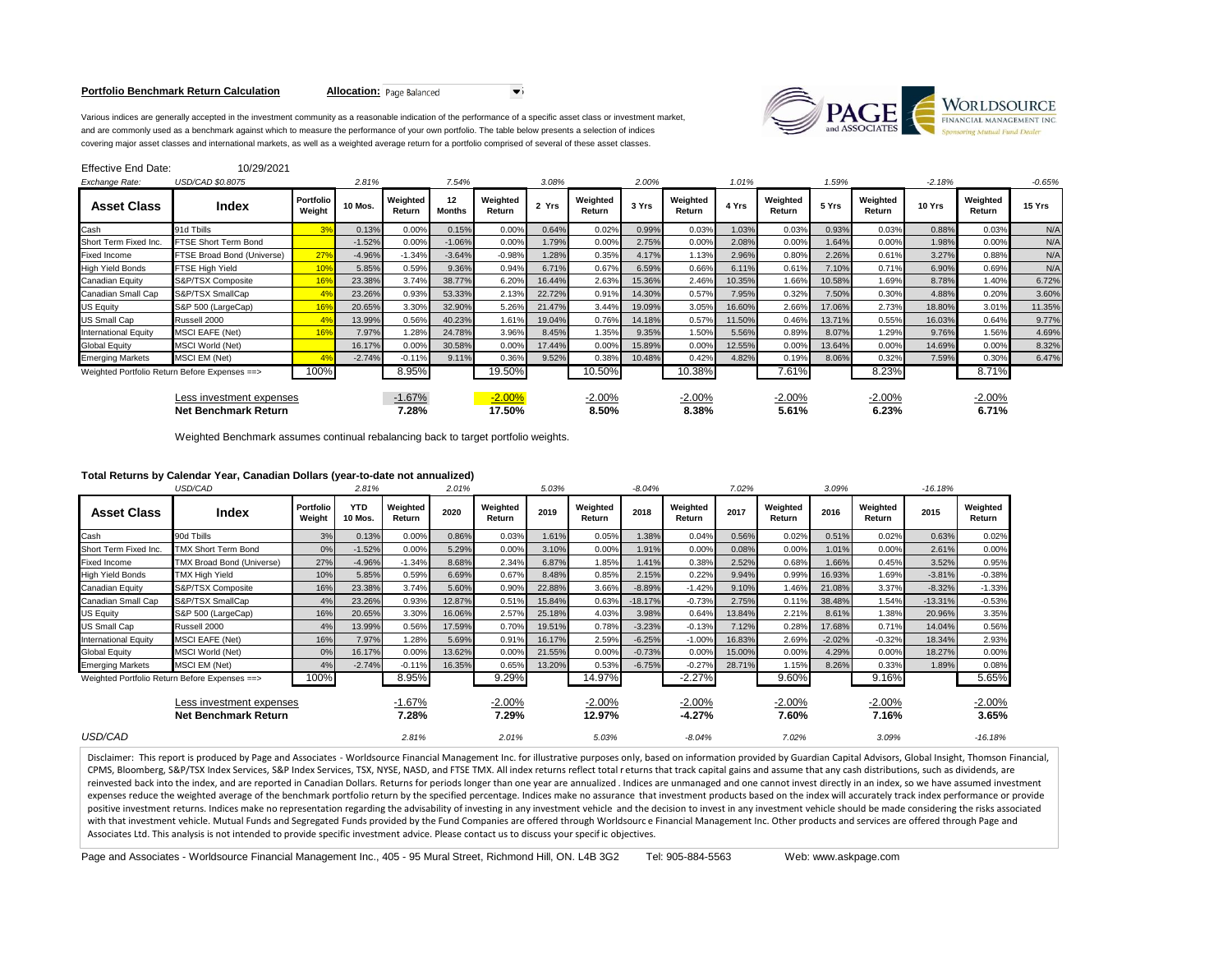### **Portfolio Benchmark Return Calculation Allocation:** Page Balanced



Various indices are generally accepted in the investment community as a reasonable indication of the performance of a specific asset class or investment market, and are commonly used as a benchmark against which to measure the performance of your own portfolio. The table below presents a selection of indices covering major asset classes and international markets, as well as a weighted average return for a portfolio comprised of several of these asset classes.

| Effective End Date:                                     | 10/29/2021                                    |                            |                |                    |                     |                    |        |                    |        |                    |        |                    |        |                    |          |                    |          |
|---------------------------------------------------------|-----------------------------------------------|----------------------------|----------------|--------------------|---------------------|--------------------|--------|--------------------|--------|--------------------|--------|--------------------|--------|--------------------|----------|--------------------|----------|
| Exchange Rate:                                          | USD/CAD \$0.8075                              |                            | 2.81%          |                    | 7.54%               |                    | 3.08%  |                    | 2.00%  |                    | 1.01%  |                    | 1.59%  |                    | $-2.18%$ |                    | $-0.65%$ |
| <b>Asset Class</b>                                      | Index                                         | <b>Portfolio</b><br>Weight | <b>10 Mos.</b> | Weighted<br>Return | 12<br><b>Months</b> | Weighted<br>Return | 2 Yrs  | Weighted<br>Return | 3 Yrs  | Weighted<br>Return | 4 Yrs  | Weighted<br>Return | 5 Yrs  | Weighted<br>Return | 10 Yrs   | Weighted<br>Return | 15 Yrs   |
| Cash                                                    | 91d Tbills                                    |                            | 0.13%          | 0.00%              | 0.15%               | 0.00%              | 0.64%  | 0.02%              | 0.99%  | 0.03%              | 1.03%  | 0.03%              | 0.93%  | 0.03%              | 0.88%    | 0.03%              | N/A      |
| Short Term Fixed Inc.                                   | FTSE Short Term Bond                          |                            | $-1.52%$       | 0.00%              | $-1.06%$            | 0.00%              | 1.79%  | 0.00%              | 2.75%  | 0.00%              | 2.08%  | 0.00%              | 1.64%  | 0.00%              | 1.98%    | 0.00%              | N/A      |
| <b>Fixed Income</b>                                     | FTSE Broad Bond (Universe)                    | 27%                        | $-4.96%$       | $-1.34%$           | $-3.64%$            | $-0.98%$           | 1.28%  | 0.35%              | 4.17%  | 1.13%              | 2.96%  | 0.80%              | 2.26%  | 0.61%              | 3.27%    | 0.88%              | N/A      |
| <b>High Yield Bonds</b>                                 | FTSE High Yield                               | 10 <sub>9</sub>            | 5.85%          | 0.59%              | 9.36%               | 0.94%              | 6.71%  | 0.67%              | 6.59%  | 0.66%              | 6.11%  | 0.61%              | 7.10%  | 0.71%              | 6.90%    | 0.69%              | N/A      |
| Canadian Equity                                         | S&P/TSX Composite                             | 16 <sup>9</sup>            | 23.38%         | 3.74%              | 38.77%              | 6.20%              | 16.44% | 2.63%              | 15.36% | 2.46%              | 10.35% | 1.66%              | 10.58% | 1.69%              | 8.78%    | 1.40%              | 6.72%    |
| Canadian Small Cap                                      | S&P/TSX SmallCap                              |                            | 23.26%         | 0.93%              | 53.33%              | 2.13%              | 22.72% | 0.91%              | 14.30% | 0.57%              | 7.95%  | 0.32%              | 7.50%  | 0.30%              | 4.88%    | 0.20%              | 3.60%    |
| <b>US Equity</b>                                        | S&P 500 (LargeCap)                            | 16 <sup>o</sup>            | 20.65%         | 3.30%              | 32.90%              | 5.26%              | 21.47% | 3.44%              | 19.09% | 3.05%              | 16.60% | 2.66%              | 17.06% | 2.73%              | 18.80%   | 3.01%              | 11.35%   |
| US Small Cap                                            | Russell 2000                                  |                            | 13.99%         | 0.56%              | 40.23%              | 1.61%              | 19.04% | 0.76%              | 14.18% | 0.57%              | 11.50% | 0.46%              | 13.71% | 0.55%              | 16.03%   | 0.64%              | 9.77%    |
| <b>International Equity</b>                             | <b>MSCI EAFE (Net)</b>                        | 16%                        | 7.97%          | 1.28%              | 24.78%              | 3.96%              | 8.45%  | 1.35%              | 9.35%  | 1.50%              | 5.56%  | 0.89%              | 8.07%  | 1.29%              | 9.76%    | 1.56%              | 4.69%    |
| <b>Global Equity</b>                                    | <b>MSCI World (Net)</b>                       |                            | 16.17%         | 0.00%              | 30.58%              | 0.00%              | 17.44% | 0.00%              | 15.89% | 0.00%              | 12.55% | 0.00%              | 13.64% | 0.00%              | 14.69%   | 0.00%              | 8.32%    |
| <b>Emerging Markets</b>                                 | MSCI EM (Net)                                 |                            | $-2.74%$       | $-0.11%$           | 9.11%               | 0.36%              | 9.52%  | 0.38%              | 10.48% | 0.42%              | 4.82%  | 0.19%              | 8.06%  | 0.32%              | 7.59%    | 0.30%              | 6.47%    |
|                                                         | Weighted Portfolio Return Before Expenses ==> | 100%                       |                | 8.95%              |                     | 19.50%             |        | 10.50%             |        | 10.38%             |        | 7.61%              |        | 8.23%              |          | 8.71%              |          |
| Less investment expenses<br><b>Net Benchmark Return</b> |                                               |                            |                | $-1.67%$<br>7.28%  |                     | $-2.00%$<br>17.50% |        | $-2.00%$<br>8.50%  |        | $-2.00%$<br>8.38%  |        | $-2.00%$<br>5.61%  |        | $-2.00%$<br>6.23%  |          | $-2.00%$<br>6.71%  |          |

Weighted Benchmark assumes continual rebalancing back to target portfolio weights.

# **Total Returns by Calendar Year, Canadian Dollars (year-to-date not annualized)**

|                                                         | USD/CAD                                               |                     | 2.81%                        |                    | 2.01%  | 5.03%              |        |                    | $-8.04%$  |                      |        |                    | 3.09%    |                    | $-16.18%$ |                    |
|---------------------------------------------------------|-------------------------------------------------------|---------------------|------------------------------|--------------------|--------|--------------------|--------|--------------------|-----------|----------------------|--------|--------------------|----------|--------------------|-----------|--------------------|
| <b>Asset Class</b>                                      | Index                                                 | Portfolio<br>Weight | <b>YTD</b><br><b>10 Mos.</b> | Weighted<br>Return | 2020   | Weighted<br>Return | 2019   | Weighted<br>Return | 2018      | Weighted<br>Return   | 2017   | Weighted<br>Return | 2016     | Weighted<br>Return | 2015      | Weighted<br>Return |
| Cash                                                    | 90d Tbills                                            | 3%                  | 0.13%                        | 0.00%              | 0.86%  | 0.03%              | 1.61%  | 0.05%              | 1.38%     | 0.04%                | 0.56%  | 0.02%              | 0.51%    | 0.02%              | 0.63%     | 0.02%              |
| Short Term Fixed Inc.                                   | <b>TMX Short Term Bond</b>                            | 0%                  | $-1.52%$                     | 0.00%              | 5.29%  | 0.00%              | 3.10%  | 0.00%              | 1.91%     | 0.00%                | 0.08%  | 0.00%              | 1.01%    | 0.00%              | 2.61%     | 0.00%              |
| Fixed Income                                            | <b>TMX Broad Bond (Universe)</b>                      | 27%                 | $-4.96%$                     | $-1.34%$           | 8.68%  | 2.34%              | 6.87%  | 1.85%              | 1.41%     | 0.38%                | 2.52%  | 0.68%              | 1.66%    | 0.45%              | 3.52%     | 0.95%              |
| <b>High Yield Bonds</b>                                 | <b>TMX High Yield</b>                                 | 10%                 | 5.85%                        | 0.59%              | 6.69%  | 0.67%              | 8.48%  | 0.85%              | 2.15%     | 0.22%                | 9.94%  | 0.99%              | 16.93%   | 1.69%              | $-3.81%$  | $-0.38%$           |
| Canadian Equity                                         | S&P/TSX Composite                                     | 16%                 | 23.38%                       | 3.74%              | 5.60%  | 0.90%              | 22.88% | 3.66%              | $-8.89%$  | $-1.42%$             | 9.10%  | 1.46%              | 21.08%   | 3.37%              | $-8.32%$  | $-1.33%$           |
| Canadian Small Cap                                      | S&P/TSX SmallCap                                      | 4%                  | 23.26%                       | 0.93%              | 12.87% | 0.51%              | 15.84% | 0.63%              | $-18.17%$ | $-0.73%$             | 2.75%  | 0.11%              | 38.48%   | 1.54%              | $-13.31%$ | $-0.53%$           |
| US Equity                                               | S&P 500 (LargeCap)                                    | 16%                 | 20.65%                       | 3.30%              | 16.06% | 2.57%              | 25.18% | 4.03%              | 3.98%     | 0.64%                | 13.84% | 2.21%              | 8.61%    | 1.38%              | 20.96%    | 3.35%              |
| US Small Cap                                            | Russell 2000                                          | 4%                  | 13.99%                       | 0.56%              | 17.59% | 0.70%              | 19.51% | 0.78%              | $-3.23%$  | $-0.13%$             | 7.12%  | 0.28%              | 17.68%   | 0.71%              | 14.04%    | 0.56%              |
| <b>International Equity</b>                             | <b>MSCI EAFE (Net)</b>                                | 16%                 | 7.97%                        | .28%               | 5.69%  | 0.91%              | 16.17% | 2.59%              | $-6.25%$  | $-1.00%$             | 16.83% | 2.69%              | $-2.02%$ | $-0.32%$           | 18.34%    | 2.93%              |
| <b>Global Equity</b>                                    | <b>MSCI World (Net)</b>                               | 0%                  | 16.17%                       | 0.00%              | 13.62% | 0.00%              | 21.55% | 0.00%              | $-0.73%$  | 0.00%                | 15.00% | 0.00%              | 4.29%    | 0.00%              | 18.27%    | 0.00%              |
| <b>Emerging Markets</b>                                 | MSCI EM (Net)                                         | 4%                  | $-2.74%$                     | $-0.11%$           | 16.35% | 0.65%              | 13.20% | 0.53%              | $-6.75%$  | $-0.27%$             | 28.71% | 1.15%              | 8.26%    | 0.33%              | 1.89%     | 0.08%              |
|                                                         | 100%<br>Weighted Portfolio Return Before Expenses ==> |                     |                              | 8.95%              |        | 9.29%              |        | 14.97%             |           | $-2.27%$             |        | 9.60%              |          | 9.16%              |           | 5.65%              |
| Less investment expenses<br><b>Net Benchmark Return</b> |                                                       |                     |                              | -1.67%<br>7.28%    |        | $-2.00%$<br>7.29%  |        | $-2.00%$<br>12.97% |           | $-2.00%$<br>$-4.27%$ |        | $-2.00%$<br>7.60%  |          | $-2.00\%$<br>7.16% |           | $-2.00%$<br>3.65%  |
| USD/CAD                                                 |                                                       |                     |                              | 2.81%              |        | 2.01%              |        | 5.03%              |           | $-8.04%$             |        | 7.02%              |          | 3.09%              |           | $-16.18%$          |

Disclaimer: This report is produced by Page and Associates - Worldsource Financial Management Inc. for illustrative purposes only, based on information provided by Guardian Capital Advisors, Global Insight, Thomson Financi CPMS, Bloomberg, S&P/TSX Index Services, S&P Index Services, TSX, NYSE, NASD, and FTSE TMX. All index returns reflect total r eturns that track capital gains and assume that any cash distributions, such as dividends, are reinvested back into the index, and are reported in Canadian Dollars. Returns for periods longer than one year are annualized . Indices are unmanaged and one cannot invest directly in an index, so we have assumed investmen expenses reduce the weighted average of the benchmark portfolio return by the specified percentage. Indices make no assurance that investment products based on the index will accurately track index performance or provide positive investment returns. Indices make no representation regarding the advisability of investing in any investment vehicle and the decision to invest in any investment vehicle should be made considering the risks associ with that investment vehicle. Mutual Funds and Segregated Funds provided by the Fund Companies are offered through Worldsourc e Financial Management Inc. Other products and services are offered through Page and Associates Ltd. This analysis is not intended to provide specific investment advice. Please contact us to discuss your specific objectives.

Page and Associates - Worldsource Financial Management Inc., 405 - 95 Mural Street, Richmond Hill, ON. L4B 3G2 Tel: 905-884-5563 Web: www.askpage.com